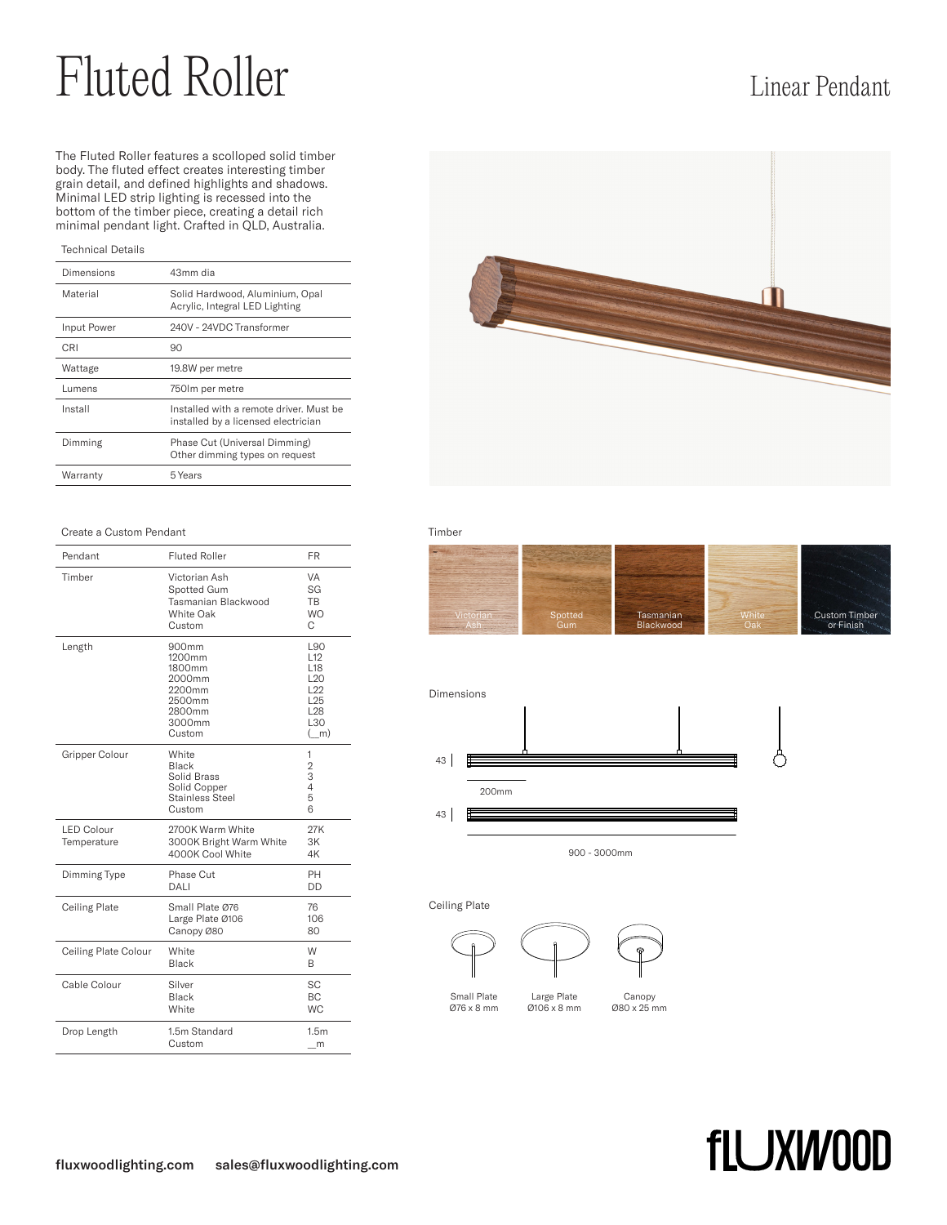# Fluted Roller Linear Pendant

The Fluted Roller features a scolloped solid timber body. The fluted effect creates interesting timber grain detail, and defined highlights and shadows. Minimal LED strip lighting is recessed into the bottom of the timber piece, creating a detail rich minimal pendant light. Crafted in QLD, Australia.

## Technical Details

| Dimensions  | 43mm dia                                                                       |  |
|-------------|--------------------------------------------------------------------------------|--|
| Material    | Solid Hardwood, Aluminium, Opal<br>Acrylic, Integral LED Lighting              |  |
| Input Power | 240V - 24VDC Transformer                                                       |  |
| CRI         | 90                                                                             |  |
| Wattage     | 19.8W per metre                                                                |  |
| Lumens      | 750 lm per metre                                                               |  |
| Install     | Installed with a remote driver. Must be<br>installed by a licensed electrician |  |
| Dimming     | Phase Cut (Universal Dimming)<br>Other dimming types on request                |  |
| Warranty    | 5 Years                                                                        |  |

## **Create a Custom Pendant Create a Custom Pendant Create Create Create Create Create Create Create Create Create**

| Pendant                          | <b>Fluted Roller</b>                                                                              | <b>FR</b>                                                                                                               |
|----------------------------------|---------------------------------------------------------------------------------------------------|-------------------------------------------------------------------------------------------------------------------------|
| Timber                           | Victorian Ash<br>Spotted Gum<br>Tasmanian Blackwood<br>White Oak<br>Custom                        | VA<br>SG<br><b>TB</b><br><b>WO</b><br>C                                                                                 |
| Length                           | 900 <sub>mm</sub><br>1200mm<br>1800mm<br>2000mm<br>2200mm<br>2500mm<br>2800mm<br>3000mm<br>Custom | L90<br>L <sub>12</sub><br>L <sub>18</sub><br>L <sub>20</sub><br>L22<br>L <sub>25</sub><br>L <sub>28</sub><br>L30<br>(m) |
| Gripper Colour                   | White<br>Black<br>Solid Brass<br>Solid Copper<br>Stainless Steel<br>Custom                        | 1<br>$\overline{2}$<br>3<br>$\overline{4}$<br>5<br>6                                                                    |
| <b>LED Colour</b><br>Temperature | 2700K Warm White<br>3000K Bright Warm White<br>4000K Cool White                                   | 27K<br>3K<br>4K                                                                                                         |
| Dimming Type                     | Phase Cut<br>DALI                                                                                 | PH<br><b>DD</b>                                                                                                         |
| Ceiling Plate                    | Small Plate Ø76<br>Large Plate Ø106<br>Canopy Ø80                                                 | 76<br>106<br>80                                                                                                         |
| Ceiling Plate Colour             | White<br>Black                                                                                    | W<br>B                                                                                                                  |
| Cable Colour                     | Silver<br>Black<br>White                                                                          | SC<br><b>BC</b><br><b>WC</b>                                                                                            |
| Drop Length                      | 1.5m Standard<br>Custom                                                                           | 1.5 <sub>m</sub><br>m                                                                                                   |







900 - 3000mm

### Ceiling Plate







Small Plate Ø76 x 8 mm

Large Plate Ø106 x 8 mm

Canopy Ø80 x 25 mm